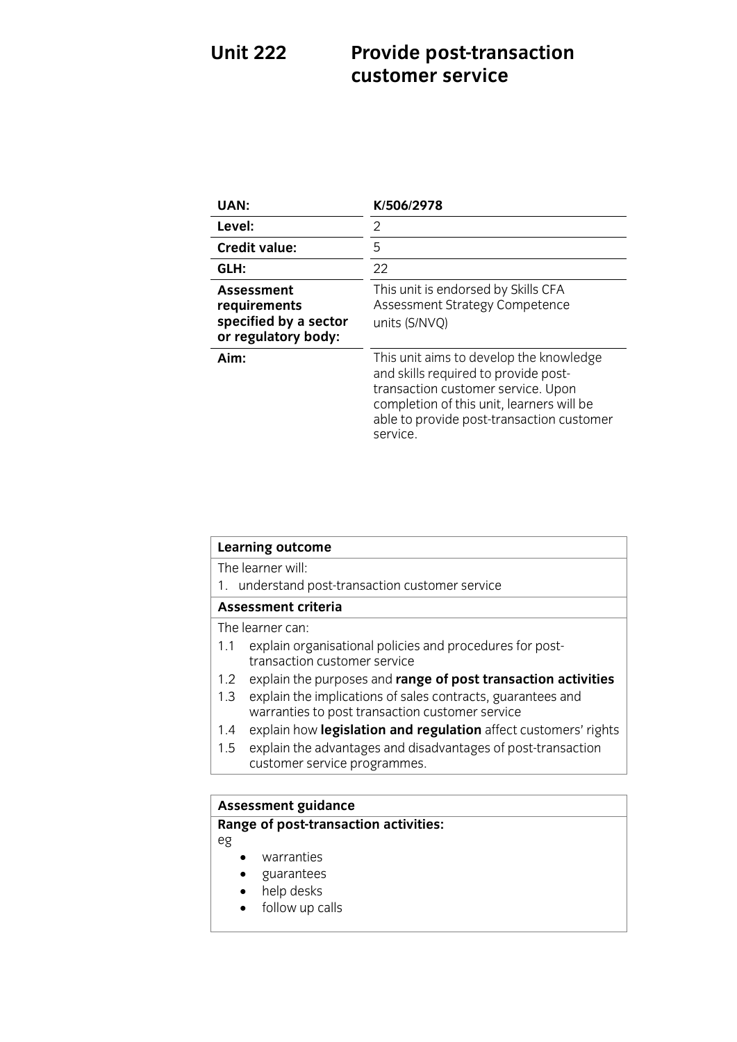# **Unit 222 Provide post-transaction**

| UAN:                                                                              | K/506/2978                                                                                                                                                                                                                  |
|-----------------------------------------------------------------------------------|-----------------------------------------------------------------------------------------------------------------------------------------------------------------------------------------------------------------------------|
| Level:                                                                            | 2                                                                                                                                                                                                                           |
| <b>Credit value:</b>                                                              | 5                                                                                                                                                                                                                           |
| GLH:                                                                              | 22                                                                                                                                                                                                                          |
| <b>Assessment</b><br>requirements<br>specified by a sector<br>or regulatory body: | This unit is endorsed by Skills CFA<br>Assessment Strategy Competence<br>units (S/NVQ)                                                                                                                                      |
| Aim:                                                                              | This unit aims to develop the knowledge<br>and skills required to provide post-<br>transaction customer service. Upon<br>completion of this unit, learners will be<br>able to provide post-transaction customer<br>service. |

| <b>Learning outcome</b>                                                                                               |  |
|-----------------------------------------------------------------------------------------------------------------------|--|
| The learner will:                                                                                                     |  |
| understand post-transaction customer service<br>1.                                                                    |  |
| Assessment criteria                                                                                                   |  |
| The learner can:                                                                                                      |  |
| explain organisational policies and procedures for post-<br>1.1<br>transaction customer service                       |  |
| explain the purposes and range of post transaction activities<br>1.2 <sub>1</sub>                                     |  |
| explain the implications of sales contracts, guarantees and<br>1.3<br>warranties to post transaction customer service |  |
| explain how legislation and regulation affect customers' rights<br>1.4                                                |  |
| explain the advantages and disadvantages of post-transaction<br>1.5                                                   |  |
| customer service programmes.                                                                                          |  |
|                                                                                                                       |  |

## **Range of nect transac**

## **Range of post-transaction activities:**

eg

- warranties
- guarantees
- help desks
- follow up calls